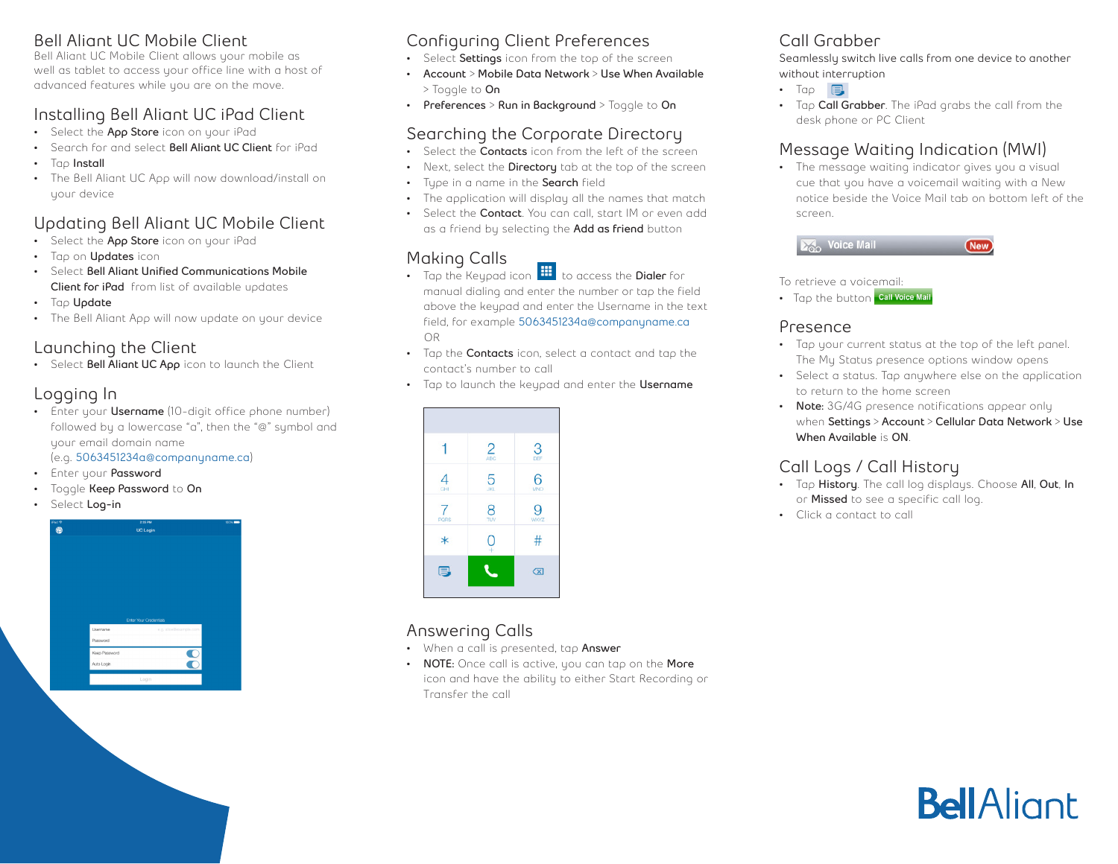#### **Bell Aliant UC Mobile Client**

Bell Aliant UC Mobile Client allows your mobile as well as tablet to access your office line with a host of advanced features while you are on the move.

# **Installing Bell Aliant UC iPad Client**

- Select the **App Store** icon on your iPad
- Search for and select **Bell Aliant UC Client** for iPad
- Tap **Install**
- The Bell Aliant UC App will now download/install on your device

# **Updating Bell Aliant UC Mobile Client**

- Select the **App Store** icon on your iPad
- Tap on **Updates** icon
- Select **Bell Aliant Unified Communications Mobile Client for iPad** from list of available updates
- Tap **Update**
- The Bell Aliant App will now update on your device

# **Launching the Client**

• Select **Bell Aliant UC App** icon to launch the Client

#### **Logging In**

• Enter your **Username** (10-digit office phone number) followed by a lowercase "a", then the "@" symbol and your email domain name

(e.g. **5063451234a@companyname.ca**)

- Enter your **Password**
- Toggle **Keep Password** to **On**
- Select **Log-in**



### **Configuring Client Preferences**

- Select **Settings** icon from the top of the screen
- **• Account** > **Mobile Data Network** > **Use When Available**  > Toggle to **On**
- **• Preferences** > **Run in Background** > Toggle to **On**

#### **Searching the Corporate Directory**

- Select the **Contacts** icon from the left of the screen
- Next, select the **Directory** tab at the top of the screen
- Type in a name in the **Search** field
- The application will display all the names that match
- Select the **Contact**. You can call, start IM or even add as a friend by selecting the **Add as friend** button

# **Making Calls**

- Tap the Keypad icon **the conduct of the Dialer** for manual dialing and enter the number or tap the field above the keypad and enter the Username in the text field, for example **5063451234a@companyname.ca** OR
- Tap the **Contacts** icon, select a contact and tap the contact's number to call
- Tap to launch the keypad and enter the **Username**



#### **Answering Calls**

- When a call is presented, tap **Answer**
- **• NOTE:** Once call is active, you can tap on the **More** icon and have the ability to either Start Recording or Transfer the call

## **Call Grabber**

**Seamlessly switch live calls from one device to another without interruption**

- Tap  $\Box$
- Tap **Call Grabber**. The iPad grabs the call from the desk phone or PC Client

# **Message Waiting Indication (MWI)**

• The message waiting indicator gives you a visual cue that you have a voicemail waiting with a New notice beside the Voice Mail tab on bottom left of the screen.



To retrieve a voicemail:

• Tap the button call Voice Mail

#### **Presence**

- Tap your current status at the top of the left panel. The My Status presence options window opens
- Select a status. Tap anywhere else on the application to return to the home screen
- **• Note:** 3G/4G presence notifications appear only when **Settings** > **Account** > **Cellular Data Network** > **Use When Available** is **ON**.

### **Call Logs / Call History**

- Tap **History**. The call log displays. Choose **All**, **Out**, **In** or **Missed** to see a specific call log.
- Click a contact to call